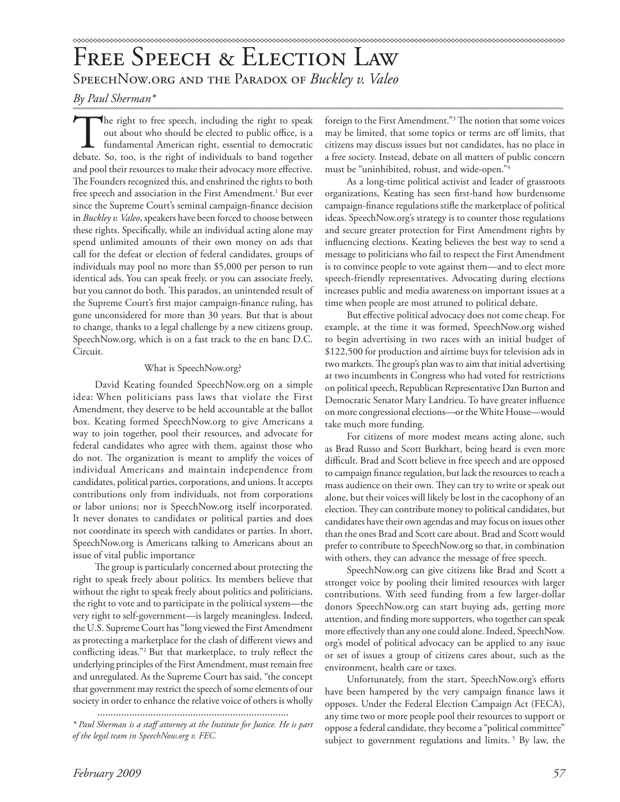# FREE SPEECH & ELECTION LAW SpeechNow.org and the Paradox of *Buckley v. Valeo*

*By Paul Sherman\**

The right to free speech, including the right to speak out about who should be elected to public office, is a fundamental American right, essential to democratic debate. So, too, is the right of individuals to band together and pool their resources to make their advocacy more effective. The Founders recognized this, and enshrined the rights to both free speech and association in the First Amendment.<sup>1</sup> But ever since the Supreme Court's seminal campaign-finance decision in *Buckley v. Valeo*, speakers have been forced to choose between these rights. Specifically, while an individual acting alone may spend unlimited amounts of their own money on ads that call for the defeat or election of federal candidates, groups of individuals may pool no more than \$5,000 per person to run identical ads. You can speak freely, or you can associate freely, but you cannot do both. This paradox, an unintended result of the Supreme Court's first major campaign-finance ruling, has gone unconsidered for more than 30 years. But that is about to change, thanks to a legal challenge by a new citizens group, SpeechNow.org, which is on a fast track to the en banc D.C. Circuit.

# What is SpeechNow.org?

David Keating founded SpeechNow.org on a simple idea: When politicians pass laws that violate the First Amendment, they deserve to be held accountable at the ballot box. Keating formed SpeechNow.org to give Americans a way to join together, pool their resources, and advocate for federal candidates who agree with them, against those who do not. The organization is meant to amplify the voices of individual Americans and maintain independence from candidates, political parties, corporations, and unions. It accepts contributions only from individuals, not from corporations or labor unions; nor is SpeechNow.org itself incorporated. It never donates to candidates or political parties and does not coordinate its speech with candidates or parties. In short, SpeechNow.org is Americans talking to Americans about an issue of vital public importance

The group is particularly concerned about protecting the right to speak freely about politics. Its members believe that without the right to speak freely about politics and politicians, the right to vote and to participate in the political system—the very right to self-government—is largely meaningless. Indeed, the U.S. Supreme Court has "long viewed the First Amendment as protecting a marketplace for the clash of different views and conflicting ideas."<sup>2</sup> But that marketplace, to truly reflect the underlying principles of the First Amendment, must remain free and unregulated. As the Supreme Court has said, "the concept that government may restrict the speech of some elements of our society in order to enhance the relative voice of others is wholly

foreign to the First Amendment."<sup>3</sup> The notion that some voices may be limited, that some topics or terms are off limits, that citizens may discuss issues but not candidates, has no place in a free society. Instead, debate on all matters of public concern must be "uninhibited, robust, and wide-open."4

As a long-time political activist and leader of grassroots organizations, Keating has seen first-hand how burdensome campaign-finance regulations stifle the marketplace of political ideas. SpeechNow.org's strategy is to counter those regulations and secure greater protection for First Amendment rights by influencing elections. Keating believes the best way to send a message to politicians who fail to respect the First Amendment is to convince people to vote against them—and to elect more speech-friendly representatives. Advocating during elections increases public and media awareness on important issues at a time when people are most attuned to political debate.

But effective political advocacy does not come cheap. For example, at the time it was formed, SpeechNow.org wished to begin advertising in two races with an initial budget of \$122,500 for production and airtime buys for television ads in two markets. The group's plan was to aim that initial advertising at two incumbents in Congress who had voted for restrictions on political speech, Republican Representative Dan Burton and Democratic Senator Mary Landrieu. To have greater influence on more congressional elections—or the White House—would take much more funding.

For citizens of more modest means acting alone, such as Brad Russo and Scott Burkhart, being heard is even more difficult. Brad and Scott believe in free speech and are opposed to campaign finance regulation, but lack the resources to reach a mass audience on their own. They can try to write or speak out alone, but their voices will likely be lost in the cacophony of an election. They can contribute money to political candidates, but candidates have their own agendas and may focus on issues other than the ones Brad and Scott care about. Brad and Scott would prefer to contribute to SpeechNow.org so that, in combination with others, they can advance the message of free speech.

SpeechNow.org can give citizens like Brad and Scott a stronger voice by pooling their limited resources with larger contributions. With seed funding from a few larger-dollar donors SpeechNow.org can start buying ads, getting more attention, and finding more supporters, who together can speak more effectively than any one could alone. Indeed, SpeechNow. org's model of political advocacy can be applied to any issue or set of issues a group of citizens cares about, such as the environment, health care or taxes.

Unfortunately, from the start, SpeechNow.org's efforts have been hampered by the very campaign finance laws it opposes. Under the Federal Election Campaign Act (FECA), any time two or more people pool their resources to support or oppose a federal candidate, they become a "political committee" subject to government regulations and limits.<sup>5</sup> By law, the

<sup>........................................................................</sup>

*<sup>\*</sup> Paul Sherman is a staff attorney at the Institute for Justice. He is part of the legal team in SpeechNow.org v. FEC.*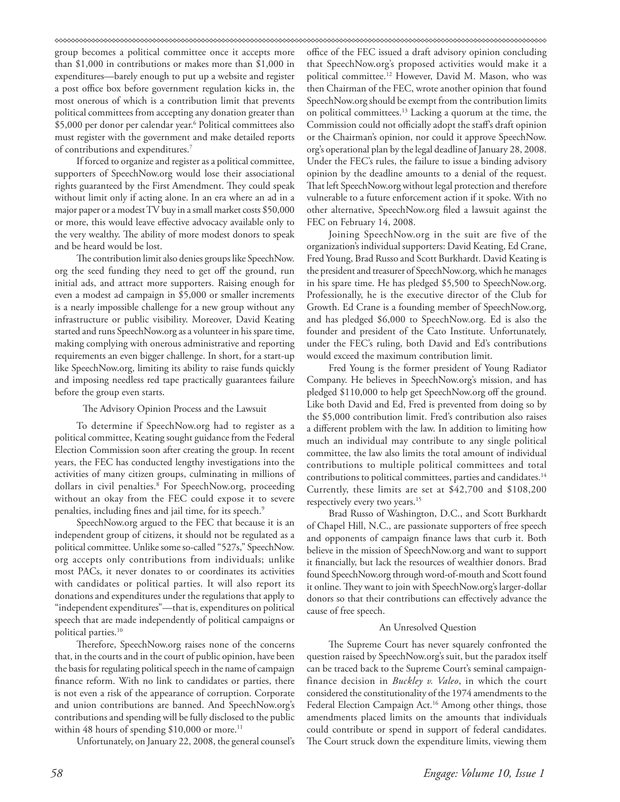#### 

group becomes a political committee once it accepts more than \$1,000 in contributions or makes more than \$1,000 in expenditures—barely enough to put up a website and register a post office box before government regulation kicks in, the most onerous of which is a contribution limit that prevents political committees from accepting any donation greater than \$5,000 per donor per calendar year.<sup>6</sup> Political committees also must register with the government and make detailed reports of contributions and expenditures.7

If forced to organize and register as a political committee, supporters of SpeechNow.org would lose their associational rights guaranteed by the First Amendment. They could speak without limit only if acting alone. In an era where an ad in a major paper or a modest TV buy in a small market costs \$50,000 or more, this would leave effective advocacy available only to the very wealthy. The ability of more modest donors to speak and be heard would be lost.

The contribution limit also denies groups like SpeechNow. org the seed funding they need to get off the ground, run initial ads, and attract more supporters. Raising enough for even a modest ad campaign in \$5,000 or smaller increments is a nearly impossible challenge for a new group without any infrastructure or public visibility. Moreover, David Keating started and runs SpeechNow.org as a volunteer in his spare time, making complying with onerous administrative and reporting requirements an even bigger challenge. In short, for a start-up like SpeechNow.org, limiting its ability to raise funds quickly and imposing needless red tape practically guarantees failure before the group even starts.

#### The Advisory Opinion Process and the Lawsuit

To determine if SpeechNow.org had to register as a political committee, Keating sought guidance from the Federal Election Commission soon after creating the group. In recent years, the FEC has conducted lengthy investigations into the activities of many citizen groups, culminating in millions of dollars in civil penalties.<sup>8</sup> For SpeechNow.org, proceeding without an okay from the FEC could expose it to severe penalties, including fines and jail time, for its speech.<sup>9</sup>

SpeechNow.org argued to the FEC that because it is an independent group of citizens, it should not be regulated as a political committee. Unlike some so-called "527s," SpeechNow. org accepts only contributions from individuals; unlike most PACs, it never donates to or coordinates its activities with candidates or political parties. It will also report its donations and expenditures under the regulations that apply to "independent expenditures"—that is, expenditures on political speech that are made independently of political campaigns or political parties.<sup>10</sup>

Therefore, SpeechNow.org raises none of the concerns that, in the courts and in the court of public opinion, have been the basis for regulating political speech in the name of campaign finance reform. With no link to candidates or parties, there is not even a risk of the appearance of corruption. Corporate and union contributions are banned. And SpeechNow.org's contributions and spending will be fully disclosed to the public within 48 hours of spending  $$10,000$  or more.<sup>11</sup>

Unfortunately, on January 22, 2008, the general counsel's

office of the FEC issued a draft advisory opinion concluding that SpeechNow.org's proposed activities would make it a political committee.12 However, David M. Mason, who was then Chairman of the FEC, wrote another opinion that found SpeechNow.org should be exempt from the contribution limits on political committees.13 Lacking a quorum at the time, the Commission could not officially adopt the staff's draft opinion or the Chairman's opinion, nor could it approve SpeechNow. org's operational plan by the legal deadline of January 28, 2008. Under the FEC's rules, the failure to issue a binding advisory opinion by the deadline amounts to a denial of the request. That left SpeechNow.org without legal protection and therefore vulnerable to a future enforcement action if it spoke. With no other alternative, SpeechNow.org filed a lawsuit against the FEC on February 14, 2008.

Joining SpeechNow.org in the suit are five of the organization's individual supporters: David Keating, Ed Crane, Fred Young, Brad Russo and Scott Burkhardt. David Keating is the president and treasurer of SpeechNow.org, which he manages in his spare time. He has pledged \$5,500 to SpeechNow.org. Professionally, he is the executive director of the Club for Growth. Ed Crane is a founding member of SpeechNow.org, and has pledged \$6,000 to SpeechNow.org. Ed is also the founder and president of the Cato Institute. Unfortunately, under the FEC's ruling, both David and Ed's contributions would exceed the maximum contribution limit.

Fred Young is the former president of Young Radiator Company. He believes in SpeechNow.org's mission, and has pledged \$110,000 to help get SpeechNow.org off the ground. Like both David and Ed, Fred is prevented from doing so by the \$5,000 contribution limit. Fred's contribution also raises a different problem with the law. In addition to limiting how much an individual may contribute to any single political committee, the law also limits the total amount of individual contributions to multiple political committees and total contributions to political committees, parties and candidates.14 Currently, these limits are set at \$42,700 and \$108,200 respectively every two years.<sup>15</sup>

Brad Russo of Washington, D.C., and Scott Burkhardt of Chapel Hill, N.C., are passionate supporters of free speech and opponents of campaign finance laws that curb it. Both believe in the mission of SpeechNow.org and want to support it financially, but lack the resources of wealthier donors. Brad found SpeechNow.org through word-of-mouth and Scott found it online. They want to join with SpeechNow.org's larger-dollar donors so that their contributions can effectively advance the cause of free speech.

#### An Unresolved Question

The Supreme Court has never squarely confronted the question raised by SpeechNow.org's suit, but the paradox itself can be traced back to the Supreme Court's seminal campaignfinance decision in *Buckley v. Valeo*, in which the court considered the constitutionality of the 1974 amendments to the Federal Election Campaign Act.<sup>16</sup> Among other things, those amendments placed limits on the amounts that individuals could contribute or spend in support of federal candidates. The Court struck down the expenditure limits, viewing them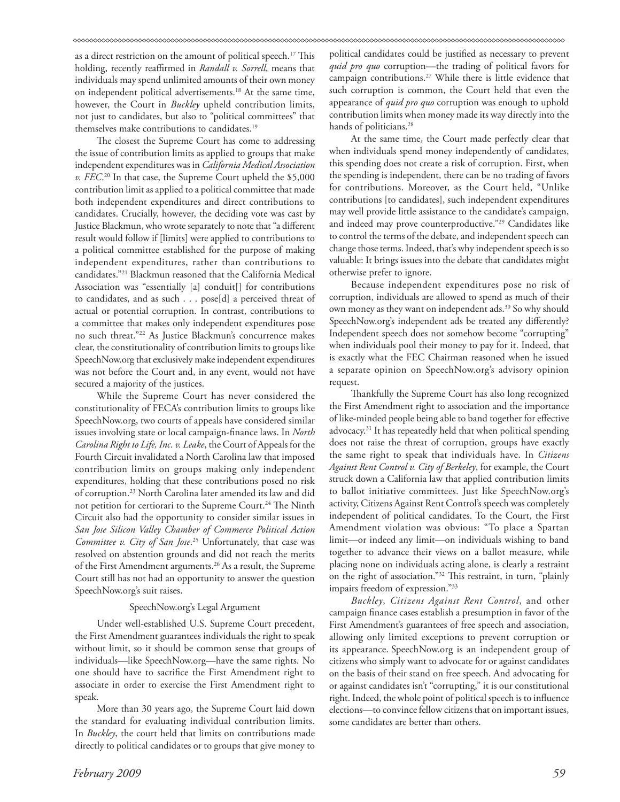as a direct restriction on the amount of political speech.<sup>17</sup> This holding, recently reaffirmed in *Randall v. Sorrell*, means that individuals may spend unlimited amounts of their own money on independent political advertisements.18 At the same time, however, the Court in *Buckley* upheld contribution limits, not just to candidates, but also to "political committees" that themselves make contributions to candidates.19

The closest the Supreme Court has come to addressing the issue of contribution limits as applied to groups that make independent expenditures was in *California Medical Association v. FEC*. 20 In that case, the Supreme Court upheld the \$5,000 contribution limit as applied to a political committee that made both independent expenditures and direct contributions to candidates. Crucially, however, the deciding vote was cast by Justice Blackmun, who wrote separately to note that "a different result would follow if [limits] were applied to contributions to a political committee established for the purpose of making independent expenditures, rather than contributions to candidates."21 Blackmun reasoned that the California Medical Association was "essentially [a] conduit[] for contributions to candidates, and as such . . . pose[d] a perceived threat of actual or potential corruption. In contrast, contributions to a committee that makes only independent expenditures pose no such threat."22 As Justice Blackmun's concurrence makes clear, the constitutionality of contribution limits to groups like SpeechNow.org that exclusively make independent expenditures was not before the Court and, in any event, would not have secured a majority of the justices.

While the Supreme Court has never considered the constitutionality of FECA's contribution limits to groups like SpeechNow.org, two courts of appeals have considered similar issues involving state or local campaign-finance laws. In *North Carolina Right to Life, Inc. v. Leake*, the Court of Appeals for the Fourth Circuit invalidated a North Carolina law that imposed contribution limits on groups making only independent expenditures, holding that these contributions posed no risk of corruption.23 North Carolina later amended its law and did not petition for certiorari to the Supreme Court.<sup>24</sup> The Ninth Circuit also had the opportunity to consider similar issues in *San Jose Silicon Valley Chamber of Commerce Political Action Committee v. City of San Jose*. 25 Unfortunately, that case was resolved on abstention grounds and did not reach the merits of the First Amendment arguments.26 As a result, the Supreme Court still has not had an opportunity to answer the question SpeechNow.org's suit raises.

## SpeechNow.org's Legal Argument

Under well-established U.S. Supreme Court precedent, the First Amendment guarantees individuals the right to speak without limit, so it should be common sense that groups of individuals—like SpeechNow.org—have the same rights. No one should have to sacrifice the First Amendment right to associate in order to exercise the First Amendment right to speak.

More than 30 years ago, the Supreme Court laid down the standard for evaluating individual contribution limits. In *Buckley*, the court held that limits on contributions made directly to political candidates or to groups that give money to

political candidates could be justified as necessary to prevent *quid pro quo* corruption—the trading of political favors for campaign contributions.27 While there is little evidence that such corruption is common, the Court held that even the appearance of *quid pro quo* corruption was enough to uphold contribution limits when money made its way directly into the hands of politicians.<sup>28</sup>

At the same time, the Court made perfectly clear that when individuals spend money independently of candidates, this spending does not create a risk of corruption. First, when the spending is independent, there can be no trading of favors for contributions. Moreover, as the Court held, "Unlike contributions [to candidates], such independent expenditures may well provide little assistance to the candidate's campaign, and indeed may prove counterproductive."29 Candidates like to control the terms of the debate, and independent speech can change those terms. Indeed, that's why independent speech is so valuable: It brings issues into the debate that candidates might otherwise prefer to ignore.

Because independent expenditures pose no risk of corruption, individuals are allowed to spend as much of their own money as they want on independent ads.<sup>30</sup> So why should SpeechNow.org's independent ads be treated any differently? Independent speech does not somehow become "corrupting" when individuals pool their money to pay for it. Indeed, that is exactly what the FEC Chairman reasoned when he issued a separate opinion on SpeechNow.org's advisory opinion request.

Thankfully the Supreme Court has also long recognized the First Amendment right to association and the importance of like-minded people being able to band together for effective advocacy.31 It has repeatedly held that when political spending does not raise the threat of corruption, groups have exactly the same right to speak that individuals have. In *Citizens Against Rent Control v. City of Berkeley*, for example, the Court struck down a California law that applied contribution limits to ballot initiative committees. Just like SpeechNow.org's activity, Citizens Against Rent Control's speech was completely independent of political candidates. To the Court, the First Amendment violation was obvious: "To place a Spartan limit—or indeed any limit—on individuals wishing to band together to advance their views on a ballot measure, while placing none on individuals acting alone, is clearly a restraint on the right of association."<sup>32</sup> This restraint, in turn, "plainly impairs freedom of expression."33

*Buckley*, *Citizens Against Rent Control*, and other campaign finance cases establish a presumption in favor of the First Amendment's guarantees of free speech and association, allowing only limited exceptions to prevent corruption or its appearance. SpeechNow.org is an independent group of citizens who simply want to advocate for or against candidates on the basis of their stand on free speech. And advocating for or against candidates isn't "corrupting," it is our constitutional right. Indeed, the whole point of political speech is to influence elections—to convince fellow citizens that on important issues, some candidates are better than others.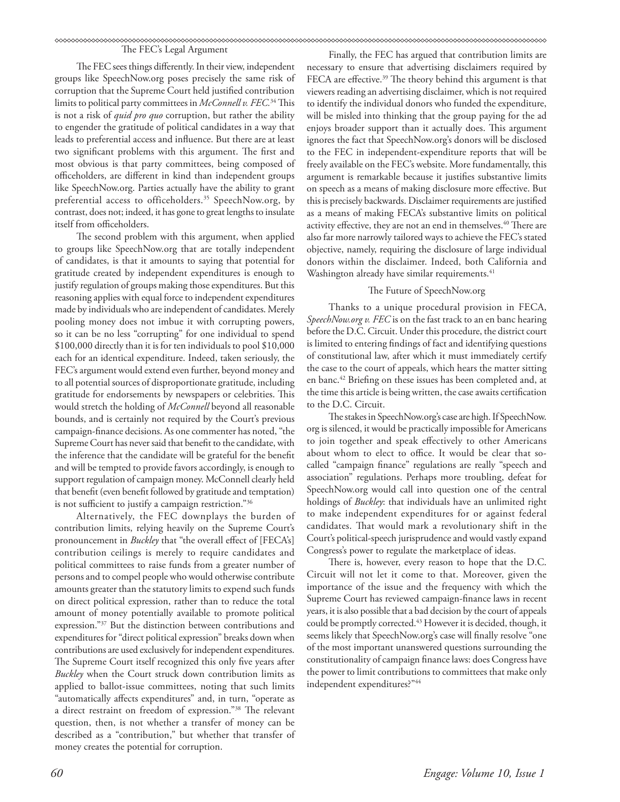#### 

### The FEC's Legal Argument

The FEC sees things differently. In their view, independent groups like SpeechNow.org poses precisely the same risk of corruption that the Supreme Court held justified contribution limits to political party committees in *McConnell v. FEC*.<sup>34</sup> This is not a risk of *quid pro quo* corruption, but rather the ability to engender the gratitude of political candidates in a way that leads to preferential access and influence. But there are at least two significant problems with this argument. The first and most obvious is that party committees, being composed of officeholders, are different in kind than independent groups like SpeechNow.org. Parties actually have the ability to grant preferential access to officeholders.<sup>35</sup> SpeechNow.org, by contrast, does not; indeed, it has gone to great lengths to insulate itself from officeholders.

The second problem with this argument, when applied to groups like SpeechNow.org that are totally independent of candidates, is that it amounts to saying that potential for gratitude created by independent expenditures is enough to justify regulation of groups making those expenditures. But this reasoning applies with equal force to independent expenditures made by individuals who are independent of candidates. Merely pooling money does not imbue it with corrupting powers, so it can be no less "corrupting" for one individual to spend \$100,000 directly than it is for ten individuals to pool \$10,000 each for an identical expenditure. Indeed, taken seriously, the FEC's argument would extend even further, beyond money and to all potential sources of disproportionate gratitude, including gratitude for endorsements by newspapers or celebrities. This would stretch the holding of *McConnell* beyond all reasonable bounds, and is certainly not required by the Court's previous campaign-finance decisions. As one commenter has noted, "the Supreme Court has never said that benefit to the candidate, with the inference that the candidate will be grateful for the benefit and will be tempted to provide favors accordingly, is enough to support regulation of campaign money. McConnell clearly held that benefit (even benefit followed by gratitude and temptation) is not sufficient to justify a campaign restriction."36

Alternatively, the FEC downplays the burden of contribution limits, relying heavily on the Supreme Court's pronouncement in *Buckley* that "the overall effect of [FECA's] contribution ceilings is merely to require candidates and political committees to raise funds from a greater number of persons and to compel people who would otherwise contribute amounts greater than the statutory limits to expend such funds on direct political expression, rather than to reduce the total amount of money potentially available to promote political expression."37 But the distinction between contributions and expenditures for "direct political expression" breaks down when contributions are used exclusively for independent expenditures. The Supreme Court itself recognized this only five years after *Buckley* when the Court struck down contribution limits as applied to ballot-issue committees, noting that such limits "automatically affects expenditures" and, in turn, "operate as a direct restraint on freedom of expression."<sup>38</sup> The relevant question, then, is not whether a transfer of money can be described as a "contribution," but whether that transfer of money creates the potential for corruption.

Finally, the FEC has argued that contribution limits are necessary to ensure that advertising disclaimers required by FECA are effective.<sup>39</sup> The theory behind this argument is that viewers reading an advertising disclaimer, which is not required to identify the individual donors who funded the expenditure, will be misled into thinking that the group paying for the ad enjoys broader support than it actually does. This argument ignores the fact that SpeechNow.org's donors will be disclosed to the FEC in independent-expenditure reports that will be freely available on the FEC's website. More fundamentally, this argument is remarkable because it justifies substantive limits on speech as a means of making disclosure more effective. But this is precisely backwards. Disclaimer requirements are justified as a means of making FECA's substantive limits on political activity effective, they are not an end in themselves.<sup>40</sup> There are also far more narrowly tailored ways to achieve the FEC's stated objective, namely, requiring the disclosure of large individual donors within the disclaimer. Indeed, both California and Washington already have similar requirements.<sup>41</sup>

#### The Future of SpeechNow.org

Thanks to a unique procedural provision in FECA, *SpeechNow.org v. FEC* is on the fast track to an en banc hearing before the D.C. Circuit. Under this procedure, the district court is limited to entering findings of fact and identifying questions of constitutional law, after which it must immediately certify the case to the court of appeals, which hears the matter sitting en banc.<sup>42</sup> Briefing on these issues has been completed and, at the time this article is being written, the case awaits certification to the D.C. Circuit.

The stakes in SpeechNow.org's case are high. If SpeechNow. org is silenced, it would be practically impossible for Americans to join together and speak effectively to other Americans about whom to elect to office. It would be clear that socalled "campaign finance" regulations are really "speech and association" regulations. Perhaps more troubling, defeat for SpeechNow.org would call into question one of the central holdings of *Buckley*: that individuals have an unlimited right to make independent expenditures for or against federal candidates. That would mark a revolutionary shift in the Court's political-speech jurisprudence and would vastly expand Congress's power to regulate the marketplace of ideas.

There is, however, every reason to hope that the D.C. Circuit will not let it come to that. Moreover, given the importance of the issue and the frequency with which the Supreme Court has reviewed campaign-finance laws in recent years, it is also possible that a bad decision by the court of appeals could be promptly corrected.<sup>43</sup> However it is decided, though, it seems likely that SpeechNow.org's case will finally resolve "one of the most important unanswered questions surrounding the constitutionality of campaign finance laws: does Congress have the power to limit contributions to committees that make only independent expenditures?"44